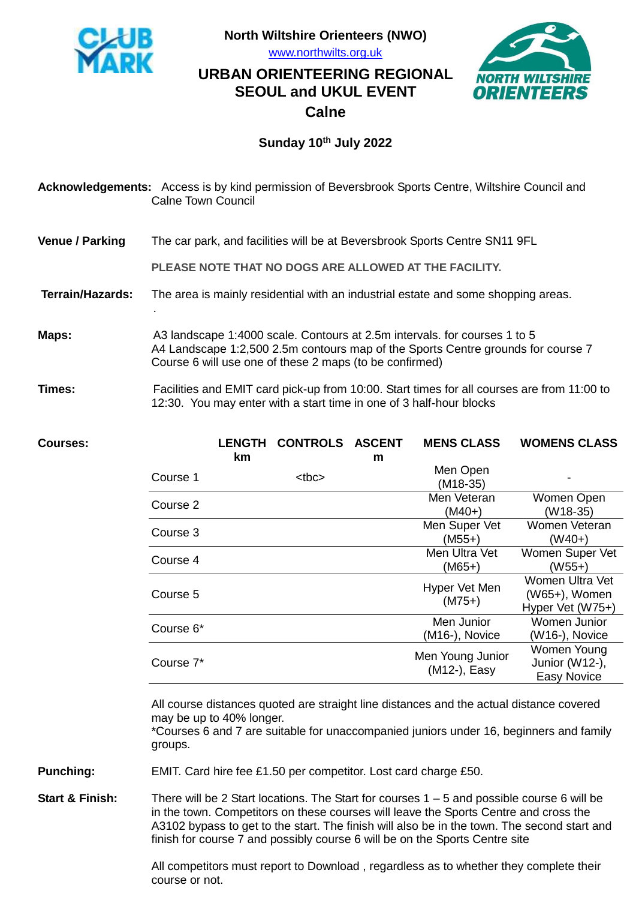

.

**North Wiltshire Orienteers (NWO)**

[www.northwilts.org.uk](http://www.northwilts.org.uk/)

## **NORTH WIL** ORIENTEE

## **URBAN ORIENTEERING REGIONAL SEOUL and UKUL EVENT Calne**

## **Sunday 10th July 2022**

**Acknowledgements:** Access is by kind permission of Beversbrook Sports Centre, Wiltshire Council and Calne Town Council

**Venue / Parking** The car park, and facilities will be at Beversbrook Sports Centre SN11 9FL

**PLEASE NOTE THAT NO DOGS ARE ALLOWED AT THE FACILITY.**

- **Terrain/Hazards:** The area is mainly residential with an industrial estate and some shopping areas.
- **Maps:** A3 landscape 1:4000 scale. Contours at 2.5m intervals. for courses 1 to 5 A4 Landscape 1:2,500 2.5m contours map of the Sports Centre grounds for course 7 Course 6 will use one of these 2 maps (to be confirmed)
- **Times:** Facilities and EMIT card pick-up from 10:00. Start times for all courses are from 11:00 to 12:30. You may enter with a start time in one of 3 half-hour blocks

| <b>Courses:</b>  |                                                                                                                                                                                                                          | <b>LENGTH</b><br>km | <b>CONTROLS ASCENT</b> | m | <b>MENS CLASS</b>                                               | <b>WOMENS CLASS</b>                                  |
|------------------|--------------------------------------------------------------------------------------------------------------------------------------------------------------------------------------------------------------------------|---------------------|------------------------|---|-----------------------------------------------------------------|------------------------------------------------------|
|                  | Course 1                                                                                                                                                                                                                 |                     | <br><sub>the</sub>     |   | Men Open<br>$(M18-35)$                                          |                                                      |
|                  | Course 2                                                                                                                                                                                                                 |                     |                        |   | Men Veteran<br>$(M40+)$                                         | Women Open<br>$(W18-35)$                             |
|                  | Course 3                                                                                                                                                                                                                 |                     |                        |   | Men Super Vet<br>$(M55+)$                                       | Women Veteran<br>$(W40+)$                            |
|                  | Course 4                                                                                                                                                                                                                 |                     |                        |   | Men Ultra Vet<br>$(M65+)$                                       | Women Super Vet<br>$(W55+)$                          |
|                  | Course 5                                                                                                                                                                                                                 |                     |                        |   | Hyper Vet Men<br>$(M75+)$                                       | Women Ultra Vet<br>(W65+), Women<br>Hyper Vet (W75+) |
|                  | Course 6*                                                                                                                                                                                                                |                     |                        |   | Men Junior<br>(M16-), Novice                                    | Women Junior<br>(W16-), Novice                       |
|                  | Course 7*                                                                                                                                                                                                                |                     |                        |   | Men Young Junior<br>(M12-), Easy                                | Women Young<br>Junior (W12-),<br><b>Easy Novice</b>  |
|                  | All course distances quoted are straight line distances and the actual distance covered<br>may be up to 40% longer.<br>*Courses 6 and 7 are suitable for unaccompanied juniors under 16, beginners and family<br>groups. |                     |                        |   |                                                                 |                                                      |
| <b>Punching:</b> |                                                                                                                                                                                                                          |                     |                        |   | EMIT. Card hire fee £1.50 per competitor. Lost card charge £50. |                                                      |

**Start & Finish:** There will be 2 Start locations. The Start for courses 1 – 5 and possible course 6 will be in the town. Competitors on these courses will leave the Sports Centre and cross the A3102 bypass to get to the start. The finish will also be in the town. The second start and finish for course 7 and possibly course 6 will be on the Sports Centre site

> All competitors must report to Download , regardless as to whether they complete their course or not.